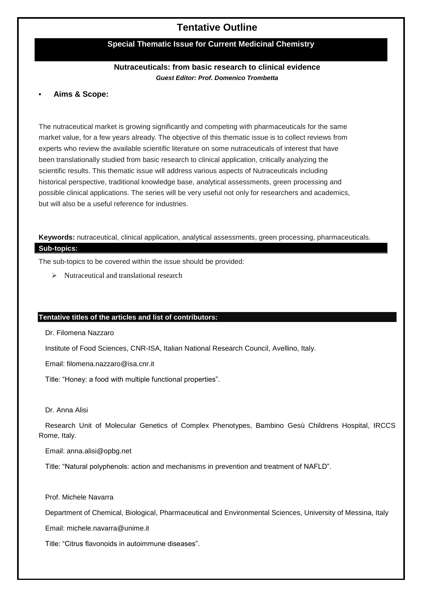# **Tentative Outline**

# **Special Thematic Issue for Current Medicinal Chemistry**

# **Nutraceuticals: from basic research to clinical evidence** *Guest Editor: Prof. Domenico Trombetta*

#### **• Aims & Scope:**

The nutraceutical market is growing significantly and competing with pharmaceuticals for the same market value, for a few years already. The objective of this thematic issue is to collect reviews from experts who review the available scientific literature on some nutraceuticals of interest that have been translationally studied from basic research to clinical application, critically analyzing the scientific results. This thematic issue will address various aspects of Nutraceuticals including historical perspective, traditional knowledge base, analytical assessments, green processing and possible clinical applications. The series will be very useful not only for researchers and academics, but will also be a useful reference for industries.

**Keywords:** nutraceutical, clinical application, analytical assessments, green processing, pharmaceuticals. **Sub-topics:**

The sub-topics to be covered within the issue should be provided:

 $\triangleright$  Nutraceutical and translational research

### **Tentative titles of the articles and list of contributors:**

Dr. Filomena Nazzaro

Institute of Food Sciences, CNR-ISA, Italian National Research Council, Avellino, Italy.

Email: [filomena.nazzaro@isa.cnr.it](mailto:filomena.nazzaro@isa.cnr.it)

Title: "Honey: a food with multiple functional properties".

#### Dr. Anna Alisi

Research Unit of Molecular Genetics of Complex Phenotypes, Bambino Gesù Childrens Hospital, IRCCS Rome, Italy.

Email: [anna.alisi@opbg.net](mailto:anna.alisi@opbg.net)

Title: "Natural polyphenols: action and mechanisms in prevention and treatment of NAFLD".

#### Prof. Michele Navarra

Department of Chemical, Biological, Pharmaceutical and Environmental Sciences, University of Messina, Italy

Email: [michele.navarra@unime.it](mailto:michele.navarra@unime.it)

Title: "Citrus flavonoids in autoimmune diseases".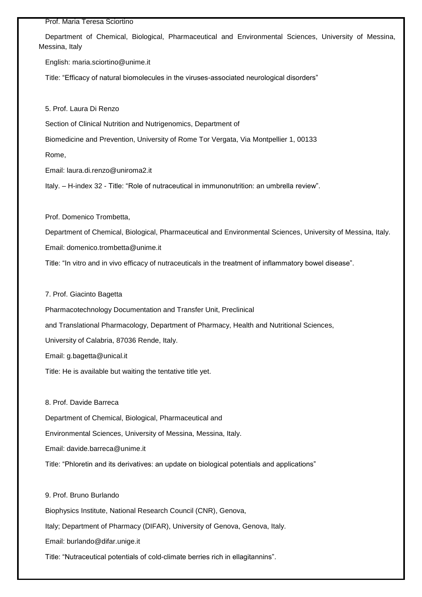#### Prof. Maria Teresa Sciortino

Department of Chemical, Biological, Pharmaceutical and Environmental Sciences, University of Messina, Messina, Italy

English: [maria.sciortino@unime.it](mailto:maria.sciortino@unime.it)

Title: "Efficacy of natural biomolecules in the viruses-associated neurological disorders"

5. Prof. Laura Di Renzo

Section of Clinical Nutrition and Nutrigenomics, Department of

Biomedicine and Prevention, University of Rome Tor Vergata, Via Montpellier 1, 00133

Rome,

Email: [laura.di.renzo@uniroma2.it](mailto:laura.di.renzo@uniroma2.it)

Italy. – H-index 32 - Title: "Role of nutraceutical in immunonutrition: an umbrella review".

Prof. Domenico Trombetta,

Department of Chemical, Biological, Pharmaceutical and Environmental Sciences, University of Messina, Italy. Email: [domenico.trombetta@unime.it](mailto:domenico.trombetta@unime.it)

Title: "In vitro and in vivo efficacy of nutraceuticals in the treatment of inflammatory bowel disease".

7. Prof. Giacinto Bagetta

Pharmacotechnology Documentation and Transfer Unit, Preclinical

and Translational Pharmacology, Department of Pharmacy, Health and Nutritional Sciences,

University of Calabria, 87036 Rende, Italy.

Email: [g.bagetta@unical.it](mailto:g.bagetta@unical.it)

Title: He is available but waiting the tentative title yet.

8. Prof. Davide Barreca

Department of Chemical, Biological, Pharmaceutical and

Environmental Sciences, University of Messina, Messina, Italy.

Email: [davide.barreca@unime.it](mailto:davide.barreca@unime.it)

Title: "Phloretin and its derivatives: an update on biological potentials and applications"

9. Prof. Bruno Burlando Biophysics Institute, National Research Council (CNR), Genova, Italy; Department of Pharmacy (DIFAR), University of Genova, Genova, Italy. Email: [burlando@difar.unige.it](mailto:burlando@difar.unige.it)

Title: "Nutraceutical potentials of cold-climate berries rich in ellagitannins".